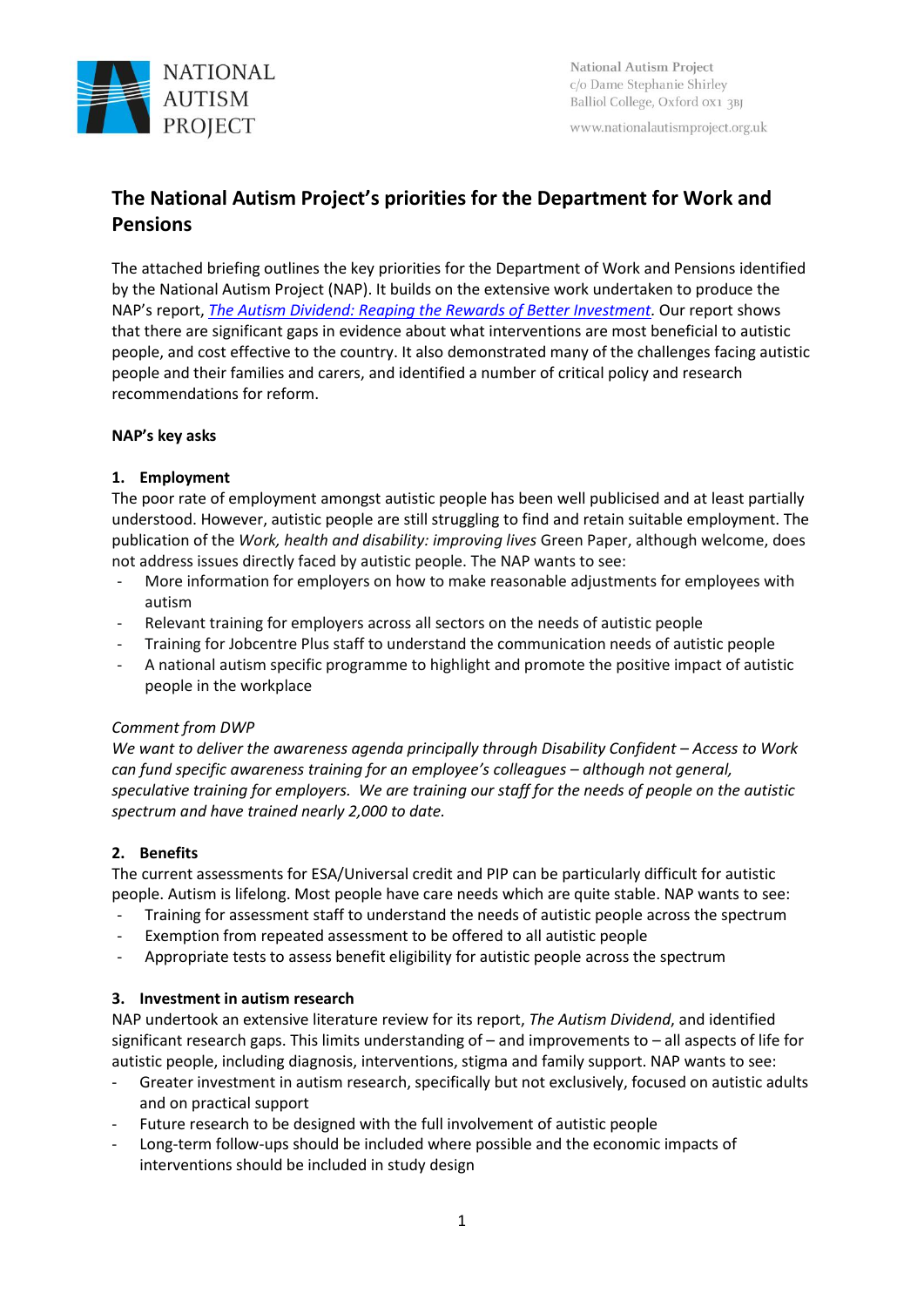

www.nationalautismproject.org.uk

# **The National Autism Project's priorities for the Department for Work and Pensions**

The attached briefing outlines the key priorities for the Department of Work and Pensions identified by the National Autism Project (NAP). It builds on the extensive work undertaken to produce the NAP's report, *[The Autism Dividend: Reaping the Rewards of Better Investment.](http://nationalautismproject.org.uk/the-autism-dividend)* Our report shows that there are significant gaps in evidence about what interventions are most beneficial to autistic people, and cost effective to the country. It also demonstrated many of the challenges facing autistic people and their families and carers, and identified a number of critical policy and research recommendations for reform.

## **NAP's key asks**

# **1. Employment**

The poor rate of employment amongst autistic people has been well publicised and at least partially understood. However, autistic people are still struggling to find and retain suitable employment. The publication of the *Work, health and disability: improving lives* Green Paper, although welcome, does not address issues directly faced by autistic people. The NAP wants to see:

- More information for employers on how to make reasonable adjustments for employees with autism
- Relevant training for employers across all sectors on the needs of autistic people
- Training for Jobcentre Plus staff to understand the communication needs of autistic people
- A national autism specific programme to highlight and promote the positive impact of autistic people in the workplace

## *Comment from DWP*

*We* want to deliver the awareness agenda principally through Disability Confident – Access to Work *can fund specific awareness training for an employee's colleagues – although not general, speculative training for employers. We are training our staff for the needs of people on the autistic spectrum and have trained nearly 2,000 to date.*

# **2. Benefits**

The current assessments for ESA/Universal credit and PIP can be particularly difficult for autistic people. Autism is lifelong. Most people have care needs which are quite stable. NAP wants to see:

- Training for assessment staff to understand the needs of autistic people across the spectrum
- Exemption from repeated assessment to be offered to all autistic people
- Appropriate tests to assess benefit eligibility for autistic people across the spectrum

## **3. Investment in autism research**

NAP undertook an extensive literature review for its report, *The Autism Dividend*, and identified significant research gaps. This limits understanding of – and improvements to – all aspects of life for autistic people, including diagnosis, interventions, stigma and family support. NAP wants to see:

- Greater investment in autism research, specifically but not exclusively, focused on autistic adults and on practical support
- Future research to be designed with the full involvement of autistic people
- Long-term follow-ups should be included where possible and the economic impacts of interventions should be included in study design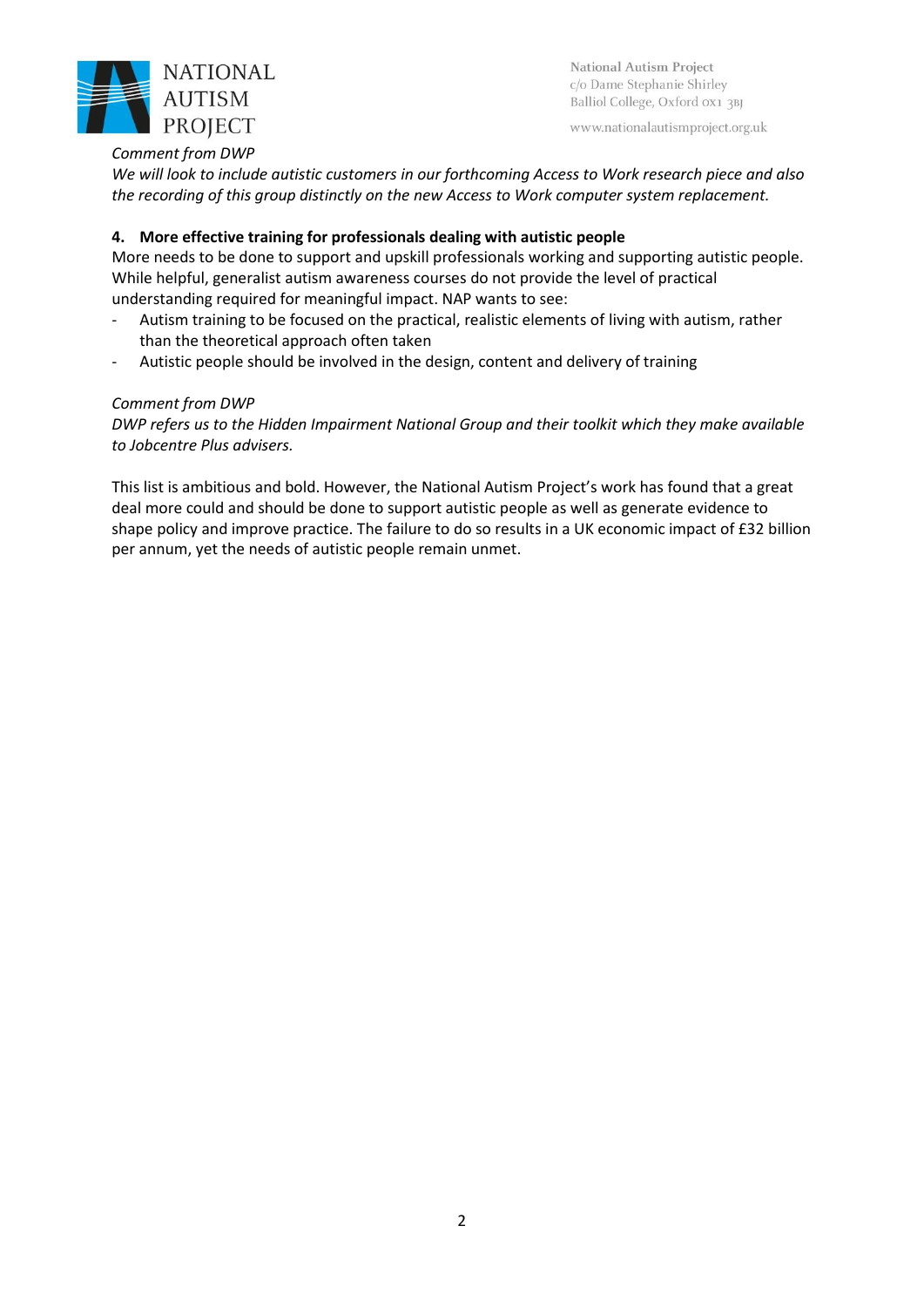

National Autism Project c/o Dame Stephanie Shirley Balliol College, Oxford 0x1 3BJ

www.nationalautismproject.org.uk

## *Comment from DWP*

*We will look to include autistic customers in our forthcoming Access to Work research piece and also the recording of this group distinctly on the new Access to Work computer system replacement.* 

#### **4. More effective training for professionals dealing with autistic people**

More needs to be done to support and upskill professionals working and supporting autistic people. While helpful, generalist autism awareness courses do not provide the level of practical understanding required for meaningful impact. NAP wants to see:

- Autism training to be focused on the practical, realistic elements of living with autism, rather than the theoretical approach often taken
- Autistic people should be involved in the design, content and delivery of training

## *Comment from DWP*

*DWP refers us to the Hidden Impairment National Group and their toolkit which they make available to Jobcentre Plus advisers.* 

This list is ambitious and bold. However, the National Autism Project's work has found that a great deal more could and should be done to support autistic people as well as generate evidence to shape policy and improve practice. The failure to do so results in a UK economic impact of £32 billion per annum, yet the needs of autistic people remain unmet.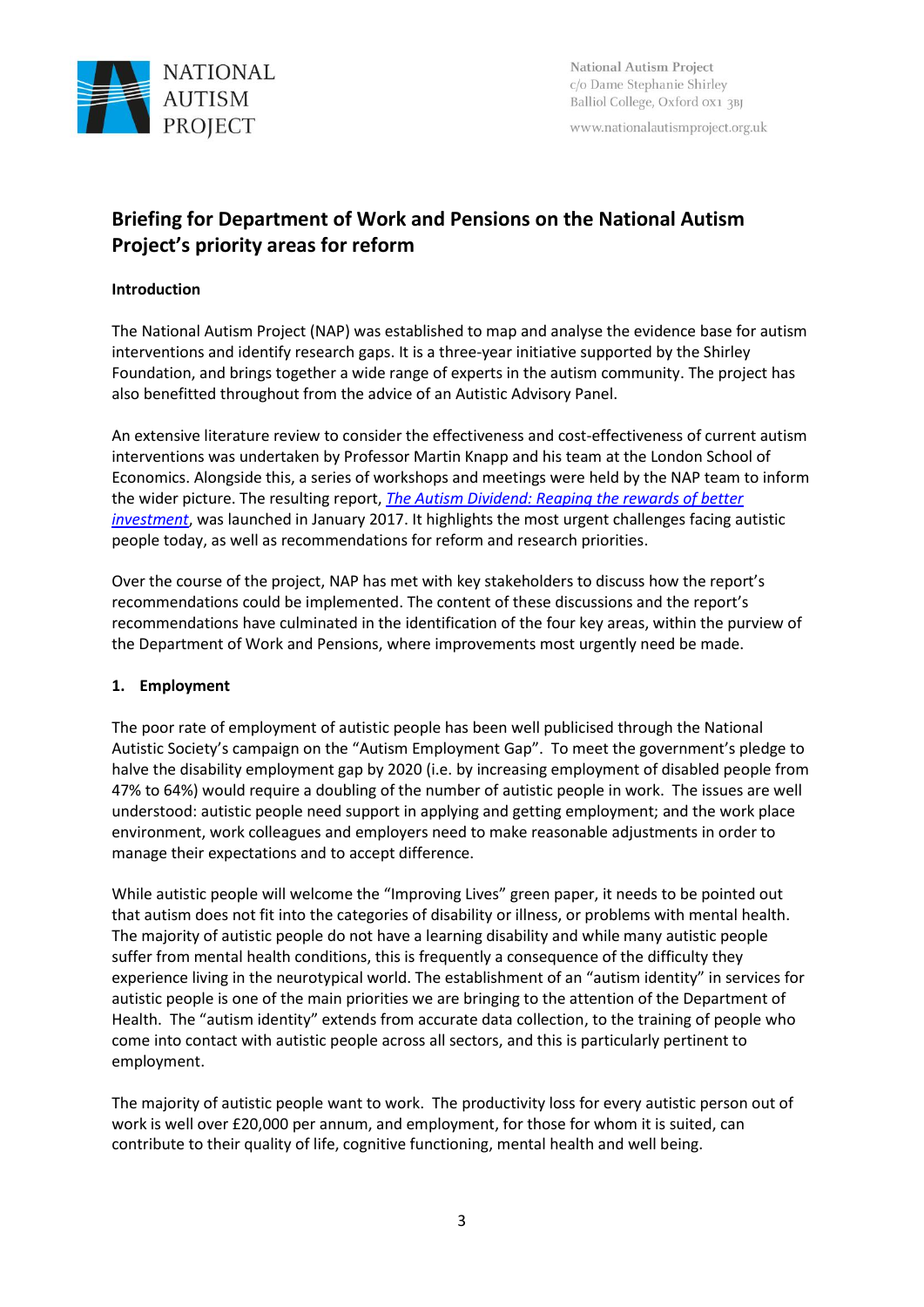

www.nationalautismproject.org.uk

# **Briefing for Department of Work and Pensions on the National Autism Project's priority areas for reform**

## **Introduction**

The National Autism Project (NAP) was established to map and analyse the evidence base for autism interventions and identify research gaps. It is a three-year initiative supported by the Shirley Foundation, and brings together a wide range of experts in the autism community. The project has also benefitted throughout from the advice of an Autistic Advisory Panel.

An extensive literature review to consider the effectiveness and cost-effectiveness of current autism interventions was undertaken by Professor Martin Knapp and his team at the London School of Economics. Alongside this, a series of workshops and meetings were held by the NAP team to inform the wider picture. The resulting report, *[The Autism Dividend: Reaping the rewards of better](http://nationalautismproject.org.uk/wp-content/uploads/2017/01/autism-dividend-report.pdf)  [investment](http://nationalautismproject.org.uk/wp-content/uploads/2017/01/autism-dividend-report.pdf)*, was launched in January 2017. It highlights the most urgent challenges facing autistic people today, as well as recommendations for reform and research priorities.

Over the course of the project, NAP has met with key stakeholders to discuss how the report's recommendations could be implemented. The content of these discussions and the report's recommendations have culminated in the identification of the four key areas, within the purview of the Department of Work and Pensions, where improvements most urgently need be made.

# **1. Employment**

The poor rate of employment of autistic people has been well publicised through the National Autistic Society's campaign on the "Autism Employment Gap". To meet the government's pledge to halve the disability employment gap by 2020 (i.e. by increasing employment of disabled people from 47% to 64%) would require a doubling of the number of autistic people in work. The issues are well understood: autistic people need support in applying and getting employment; and the work place environment, work colleagues and employers need to make reasonable adjustments in order to manage their expectations and to accept difference.

While autistic people will welcome the "Improving Lives" green paper, it needs to be pointed out that autism does not fit into the categories of disability or illness, or problems with mental health. The majority of autistic people do not have a learning disability and while many autistic people suffer from mental health conditions, this is frequently a consequence of the difficulty they experience living in the neurotypical world. The establishment of an "autism identity" in services for autistic people is one of the main priorities we are bringing to the attention of the Department of Health. The "autism identity" extends from accurate data collection, to the training of people who come into contact with autistic people across all sectors, and this is particularly pertinent to employment.

The majority of autistic people want to work. The productivity loss for every autistic person out of work is well over £20,000 per annum, and employment, for those for whom it is suited, can contribute to their quality of life, cognitive functioning, mental health and well being.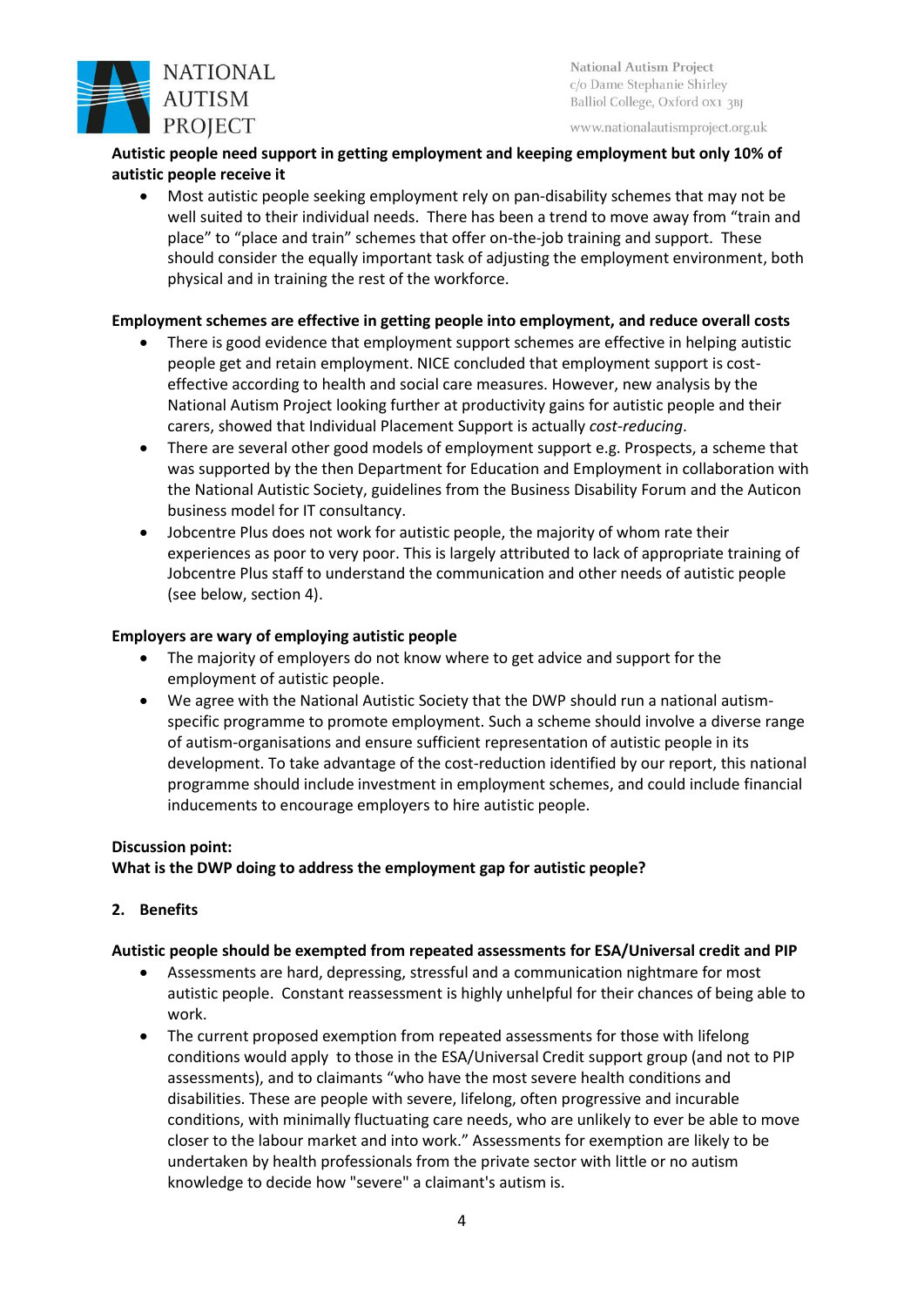

National Autism Project c/o Dame Stephanie Shirley Balliol College, Oxford 0X1 3BJ

www.nationalautismproject.org.uk

## **Autistic people need support in getting employment and keeping employment but only 10% of autistic people receive it**

• Most autistic people seeking employment rely on pan-disability schemes that may not be well suited to their individual needs. There has been a trend to move away from "train and place" to "place and train" schemes that offer on-the-job training and support. These should consider the equally important task of adjusting the employment environment, both physical and in training the rest of the workforce.

## **Employment schemes are effective in getting people into employment, and reduce overall costs**

- There is good evidence that employment support schemes are effective in helping autistic people get and retain employment. NICE concluded that employment support is costeffective according to health and social care measures. However, new analysis by the National Autism Project looking further at productivity gains for autistic people and their carers, showed that Individual Placement Support is actually *cost-reducing*.
- There are several other good models of employment support e.g. Prospects, a scheme that was supported by the then Department for Education and Employment in collaboration with the National Autistic Society, guidelines from the Business Disability Forum and the Auticon business model for IT consultancy.
- Jobcentre Plus does not work for autistic people, the majority of whom rate their experiences as poor to very poor. This is largely attributed to lack of appropriate training of Jobcentre Plus staff to understand the communication and other needs of autistic people (see below, section 4).

## **Employers are wary of employing autistic people**

- The majority of employers do not know where to get advice and support for the employment of autistic people.
- We agree with the National Autistic Society that the DWP should run a national autismspecific programme to promote employment. Such a scheme should involve a diverse range of autism-organisations and ensure sufficient representation of autistic people in its development. To take advantage of the cost-reduction identified by our report, this national programme should include investment in employment schemes, and could include financial inducements to encourage employers to hire autistic people.

## **Discussion point:**

# **What is the DWP doing to address the employment gap for autistic people?**

# **2. Benefits**

## **Autistic people should be exempted from repeated assessments for ESA/Universal credit and PIP**

- Assessments are hard, depressing, stressful and a communication nightmare for most autistic people. Constant reassessment is highly unhelpful for their chances of being able to work.
- The current proposed exemption from repeated assessments for those with lifelong conditions would apply to those in the ESA/Universal Credit support group (and not to PIP assessments), and to claimants "who have the most severe health conditions and disabilities. These are people with severe, lifelong, often progressive and incurable conditions, with minimally fluctuating care needs, who are unlikely to ever be able to move closer to the labour market and into work." Assessments for exemption are likely to be undertaken by health professionals from the private sector with little or no autism knowledge to decide how "severe" a claimant's autism is.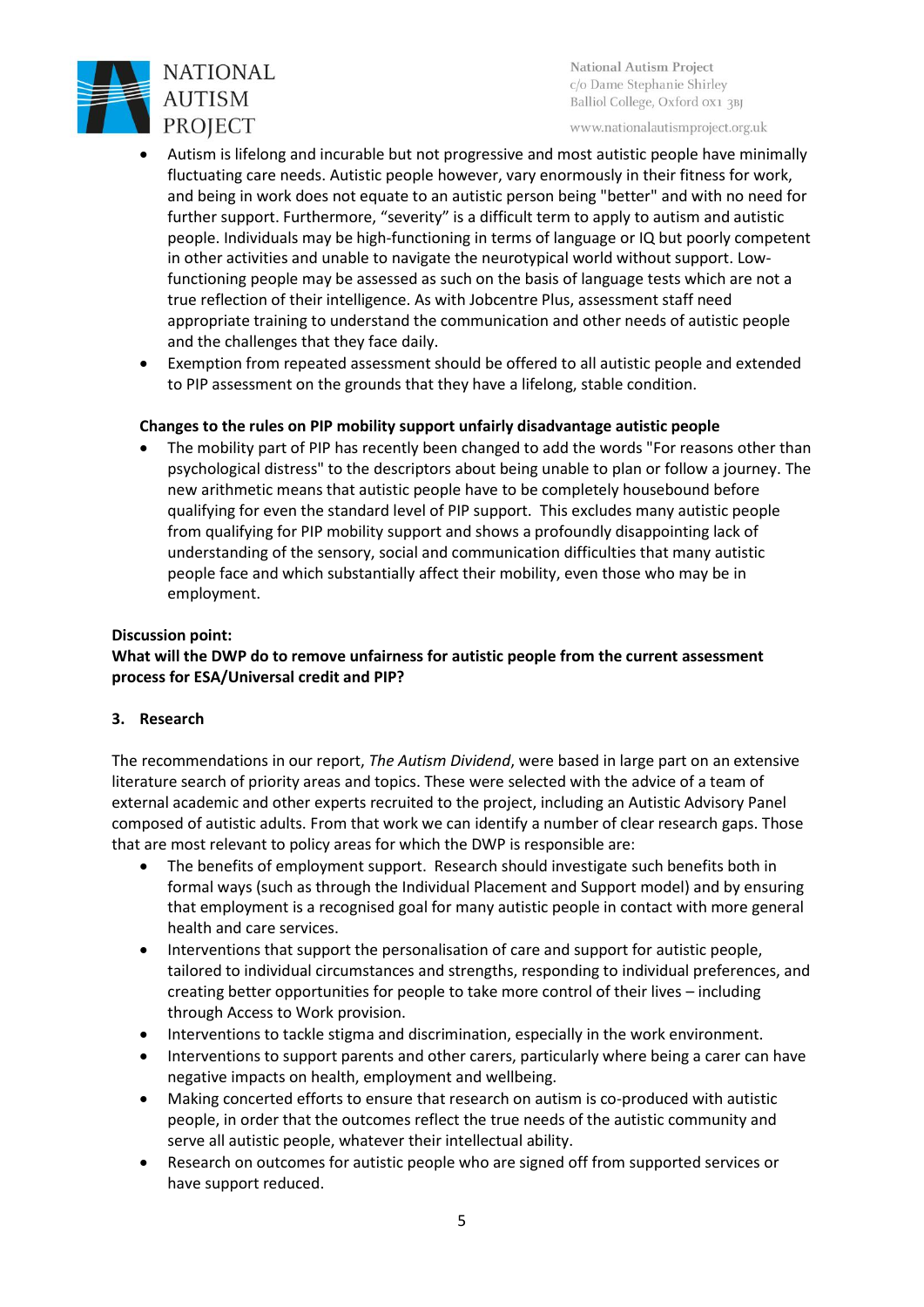

National Autism Project c/o Dame Stephanie Shirley Balliol College, Oxford 0X1 3BJ

www.nationalautismproject.org.uk

- Autism is lifelong and incurable but not progressive and most autistic people have minimally fluctuating care needs. Autistic people however, vary enormously in their fitness for work, and being in work does not equate to an autistic person being "better" and with no need for further support. Furthermore, "severity" is a difficult term to apply to autism and autistic people. Individuals may be high-functioning in terms of language or IQ but poorly competent in other activities and unable to navigate the neurotypical world without support. Lowfunctioning people may be assessed as such on the basis of language tests which are not a true reflection of their intelligence. As with Jobcentre Plus, assessment staff need appropriate training to understand the communication and other needs of autistic people and the challenges that they face daily.
- Exemption from repeated assessment should be offered to all autistic people and extended to PIP assessment on the grounds that they have a lifelong, stable condition.

## **Changes to the rules on PIP mobility support unfairly disadvantage autistic people**

The mobility part of PIP has recently been changed to add the words "For reasons other than psychological distress" to the descriptors about being unable to plan or follow a journey. The new arithmetic means that autistic people have to be completely housebound before qualifying for even the standard level of PIP support. This excludes many autistic people from qualifying for PIP mobility support and shows a profoundly disappointing lack of understanding of the sensory, social and communication difficulties that many autistic people face and which substantially affect their mobility, even those who may be in employment.

## **Discussion point:**

# **What will the DWP do to remove unfairness for autistic people from the current assessment process for ESA/Universal credit and PIP?**

## **3. Research**

The recommendations in our report, *The Autism Dividend*, were based in large part on an extensive literature search of priority areas and topics. These were selected with the advice of a team of external academic and other experts recruited to the project, including an Autistic Advisory Panel composed of autistic adults. From that work we can identify a number of clear research gaps. Those that are most relevant to policy areas for which the DWP is responsible are:

- The benefits of employment support. Research should investigate such benefits both in formal ways (such as through the Individual Placement and Support model) and by ensuring that employment is a recognised goal for many autistic people in contact with more general health and care services.
- Interventions that support the personalisation of care and support for autistic people, tailored to individual circumstances and strengths, responding to individual preferences, and creating better opportunities for people to take more control of their lives – including through Access to Work provision.
- Interventions to tackle stigma and discrimination, especially in the work environment.
- Interventions to support parents and other carers, particularly where being a carer can have negative impacts on health, employment and wellbeing.
- Making concerted efforts to ensure that research on autism is co-produced with autistic people, in order that the outcomes reflect the true needs of the autistic community and serve all autistic people, whatever their intellectual ability.
- Research on outcomes for autistic people who are signed off from supported services or have support reduced.